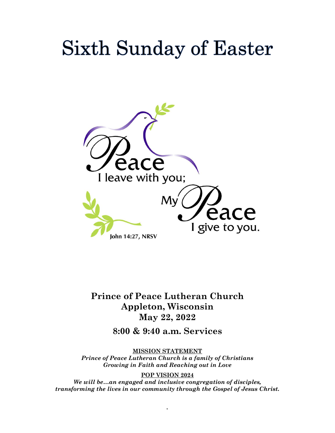# **Sixth Sunday of Easter**



**Prince of Peace Lutheran Church Appleton, Wisconsin May 22, 2022**

**8:00 & 9:40 a.m. Services**

**MISSION STATEMENT** *Prince of Peace Lutheran Church is a family of Christians Growing in Faith and Reaching out in Love*

 $\ddot{\phantom{1}}$ 

**POP VISION 2024** *We will be…an engaged and inclusive congregation of disciples, transforming the lives in our community through the Gospel of Jesus Christ.*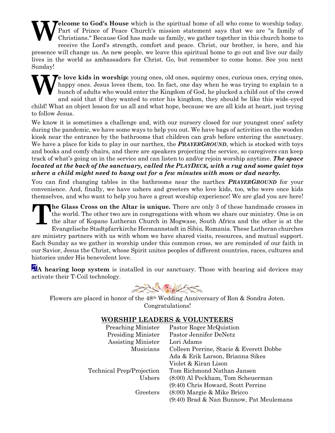**elcome to God's House** which is the spiritual home of all who come to worship today. Part of Prince of Peace Church's mission statement says that we are "a family of Christians." Because God has made us family, we gather together in this church home to receive the Lord's strength, comfort and peace. Christ, our brother, is here, and his presence will change us. As new people, we leave this spiritual home to go out and live our daily lives in the world as ambassadors for Christ. Go, but remember to come home. See you next Sunday! **W**

Te love kids in worship: young ones, old ones, squirmy ones, curious ones, crying ones, happy ones. Jesus loves them, too. In fact, one day when he was trying to explain to a bunch of adults who would enter the Kingdom of God, he plucked a child out of the crowd and said that if they wanted to enter his kingdom, they should be like this wide-eyed child! What an object lesson for us all and what hope, because we are all kids at heart, just trying to follow Jesus. **W**

We know it is sometimes a challenge and, with our nursery closed for our youngest ones' safety during the pandemic, we have some ways to help you out. We have bags of activities on the wooden kiosk near the entrance by the bathrooms that children can grab before entering the sanctuary. We have a place for kids to play in our narthex, the *PRAYERGROUND*, which is stocked with toys and books and comfy chairs, and there are speakers projecting the service, so caregivers can keep track of what's going on in the service and can listen to and/or rejoin worship anytime. *The space located at the back of the sanctuary, called the PLAYDECK, with a rug and some quiet toys where a child might need to hang out for a few minutes with mom or dad nearby.*

You can find changing tables in the bathrooms near the narthex *PRAYERGROUND* for your convenience. And, finally, we have ushers and greeters who love kids, too, who were once kids themselves, and who want to help you have a great worship experience! We are glad you are here!

**he Glass Cross on the Altar is unique.** There are only 3 of these handmade crosses in the world. The other two are in congregations with whom we share our ministry. One is on the altar of Kopano Lutheran Church in Mogwase, South Africa and the other is at the Evangelische Stadtpfarrkirche Hermannstadt in Sibiu, Romania. These Lutheran churches are ministry partners with us with whom we have shared visits, resources, and mutual support. Each Sunday as we gather in worship under this common cross, we are reminded of our faith in our Savior, Jesus the Christ, whose Spirit unites peoples of different countries, races, cultures and histories under His benevolent love. **T**

A<sup>A</sup> hearing loop system is installed in our sanctuary. Those with hearing aid devices may activate their T-Coil technology.

HALL SEAK

Flowers are placed in honor of the 48th Wedding Anniversary of Ron & Sondra Joten. Congratulations!

## **WORSHIP LEADERS & VOLUNTEERS**

| Pastor Roger McQuistion                 |
|-----------------------------------------|
| Pastor Jennifer DeNetz                  |
| Lori Adams                              |
| Colleen Perrine, Stacie & Everett Dobbe |
| Ada & Erik Larson, Brianna Sikes        |
| Violet & Kiran Lison                    |
| Tom Richmond Nathan Jansen              |
| (8:00) Al Peckham, Tom Scheuerman       |
| (9:40) Chris Howard, Scott Perrine      |
| $(8:00)$ Margie & Mike Bricco           |
| (9:40) Brad & Nan Bunnow, Pat Meulemans |
|                                         |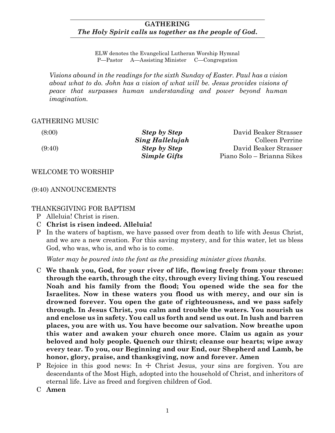# **GATHERING** *The Holy Spirit calls us together as the people of God***.**

ELW denotes the Evangelical Lutheran Worship Hymnal P—Pastor A—Assisting Minister C—Congregation

*Visions abound in the readings for the sixth Sunday of Easter. Paul has a vision about what to do. John has a vision of what will be. Jesus provides visions of peace that surpasses human understanding and power beyond human imagination.*

# GATHERING MUSIC

(8:00) *Step by Step* David Beaker Strasser *Sing Hallelujah* Colleen Perrine (9:40) *Step by Step* David Beaker Strasser *Simple Gifts* Piano Solo – Brianna Sikes

WELCOME TO WORSHIP

(9:40) ANNOUNCEMENTS

# THANKSGIVING FOR BAPTISM

- P Alleluia! Christ is risen.
- C **Christ is risen indeed. Alleluia!**
- P In the waters of baptism, we have passed over from death to life with Jesus Christ, and we are a new creation. For this saving mystery, and for this water, let us bless God, who was, who is, and who is to come.

*Water may be poured into the font as the presiding minister gives thanks.*

- C **We thank you, God, for your river of life, flowing freely from your throne: through the earth, through the city, through every living thing. You rescued Noah and his family from the flood; You opened wide the sea for the Israelites. Now in these waters you flood us with mercy, and our sin is drowned forever. You open the gate of righteousness, and we pass safely through. In Jesus Christ, you calm and trouble the waters. You nourish us and enclose us in safety. You call us forth and send us out. In lush and barren places, you are with us. You have become our salvation. Now breathe upon this water and awaken your church once more. Claim us again as your beloved and holy people. Quench our thirst; cleanse our hearts; wipe away every tear. To you, our Beginning and our End, our Shepherd and Lamb, be honor, glory, praise, and thanksgiving, now and forever. Amen**
- P Rejoice in this good news: In  $\pm$  Christ Jesus, your sins are forgiven. You are descendants of the Most High, adopted into the household of Christ, and inheritors of eternal life. Live as freed and forgiven children of God.
- C **Amen**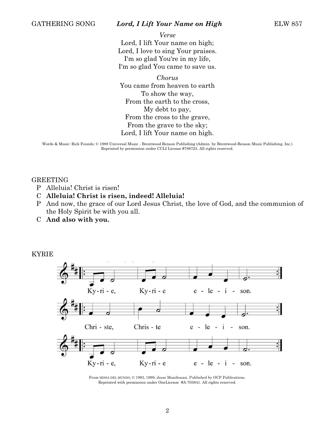#### GATHERING SONG *Lord, I Lift Your Name on High* ELW 857

*Verse* Lord, I lift Your name on high; Lord, I love to sing Your praises. I'm so glad You're in my life, I'm so glad You came to save us.

*Chorus* You came from heaven to earth To show the way, From the earth to the cross, My debt to pay, From the cross to the grave, From the grave to the sky; Lord, I lift Your name on high.

Words & Music: Rick Founds; © 1989 Universal Music - Brentwood Benson Publishing (Admin. by Brentwood-Benson Music Publishing, Inc.) Reprinted by permission under CCLI License #788723. All rights reserved.

GREETING

- P Alleluia! Christ is risen!
- C **Alleluia! Christ is risen, indeed! Alleluia!**
- P And now, the grace of our Lord Jesus Christ, the love of God, and the communion of the Holy Spirit be with you all.
- C **And also with you.**



From MISSA DEL MUNDO, © 1993, 1999, Jesse Manibusan. Published by OCP Publications. Reprinted with permission under OneLicense #A-703841. All rights reserved.

## KYRIE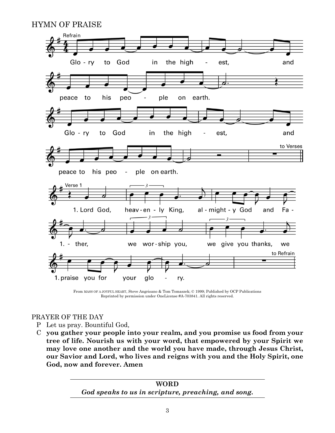# HYMN OF PRAISE



From MASS OF A JOYFUL HEART, Steve Angrisano & Tom Tomaszek; © 1999; Published by OCP Publications Reprinted by permission under OneLicense #A-703841. All rights reserved.

# PRAYER OF THE DAY

- P Let us pray. Bountiful God,
- C **you gather your people into your realm, and you promise us food from your tree of life. Nourish us with your word, that empowered by your Spirit we may love one another and the world you have made, through Jesus Christ, our Savior and Lord, who lives and reigns with you and the Holy Spirit, one God, now and forever. Amen**

**WORD** *God speaks to us in scripture, preaching, and song.*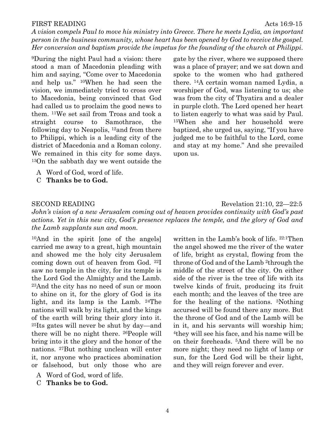*A vision compels Paul to move his ministry into Greece. There he meets Lydia, an important person in the business community, whose heart has been opened by God to receive the gospel. Her conversion and baptism provide the impetus for the founding of the church at Philippi.*

FIRST READING Acts 16:9-15

<sup>9</sup>During the night Paul had a vision: there stood a man of Macedonia pleading with him and saying, "Come over to Macedonia and help us." <sup>10</sup>When he had seen the vision, we immediately tried to cross over to Macedonia, being convinced that God had called us to proclaim the good news to them. <sup>11</sup>We set sail from Troas and took a straight course to Samothrace, the following day to Neapolis, <sup>12</sup>and from there to Philippi, which is a leading city of the district of Macedonia and a Roman colony. We remained in this city for some days. <sup>13</sup>On the sabbath day we went outside the

- A Word of God, word of life.
- C **Thanks be to God.**

gate by the river, where we supposed there was a place of prayer; and we sat down and spoke to the women who had gathered there. <sup>14</sup>A certain woman named Lydia, a worshiper of God, was listening to us; she was from the city of Thyatira and a dealer in purple cloth. The Lord opened her heart to listen eagerly to what was said by Paul. <sup>15</sup>When she and her household were baptized, she urged us, saying, "If you have judged me to be faithful to the Lord, come and stay at my home." And she prevailed upon us.

#### SECOND READING Revelation 21:10, 22–22:5

*John's vision of a new Jerusalem coming out of heaven provides continuity with God's past actions. Yet in this new city, God's presence replaces the temple, and the glory of God and the Lamb supplants sun and moon.*

<sup>10</sup>And in the spirit [one of the angels] carried me away to a great, high mountain and showed me the holy city Jerusalem coming down out of heaven from God. <sup>22</sup>I saw no temple in the city, for its temple is the Lord God the Almighty and the Lamb. <sup>23</sup>And the city has no need of sun or moon to shine on it, for the glory of God is its light, and its lamp is the Lamb. <sup>24</sup>The nations will walk by its light, and the kings of the earth will bring their glory into it. <sup>25</sup>Its gates will never be shut by day—and there will be no night there. <sup>26</sup>People will bring into it the glory and the honor of the nations. <sup>27</sup>But nothing unclean will enter it, nor anyone who practices abomination or falsehood, but only those who are

- A Word of God, word of life.
- C **Thanks be to God.**

written in the Lamb's book of life. 22:1Then the angel showed me the river of the water of life, bright as crystal, flowing from the throne of God and of the Lamb <sup>2</sup>through the middle of the street of the city. On either side of the river is the tree of life with its twelve kinds of fruit, producing its fruit each month; and the leaves of the tree are for the healing of the nations. <sup>3</sup>Nothing accursed will be found there any more. But the throne of God and of the Lamb will be in it, and his servants will worship him; <sup>4</sup>they will see his face, and his name will be on their foreheads. <sup>5</sup>And there will be no more night; they need no light of lamp or sun, for the Lord God will be their light, and they will reign forever and ever.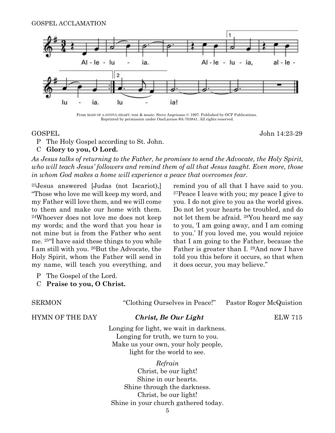

From MASS OF A JOYFUL HEART; text & music: Steve Angrisano © 1997. Published by OCP Publications. Reprinted by permission under OneLicense #A-703841. All rights reserved.

GOSPEL John 14:23-29

P The Holy Gospel according to St. John.

#### C **Glory to you, O Lord.**

*As Jesus talks of returning to the Father, he promises to send the Advocate, the Holy Spirit, who will teach Jesus' followers and remind them of all that Jesus taught. Even more, those in whom God makes a home will experience a peace that overcomes fear.*

<sup>23</sup>Jesus answered [Judas (not Iscariot),] "Those who love me will keep my word, and my Father will love them, and we will come to them and make our home with them. <sup>24</sup>Whoever does not love me does not keep my words; and the word that you hear is not mine but is from the Father who sent me. <sup>25</sup>"I have said these things to you while I am still with you. <sup>26</sup>But the Advocate, the Holy Spirit, whom the Father will send in my name, will teach you everything, and remind you of all that I have said to you. <sup>27</sup>Peace I leave with you; my peace I give to you. I do not give to you as the world gives. Do not let your hearts be troubled, and do not let them be afraid. <sup>28</sup>You heard me say to you, 'I am going away, and I am coming to you.' If you loved me, you would rejoice that I am going to the Father, because the Father is greater than I. <sup>29</sup>And now I have told you this before it occurs, so that when it does occur, you may believe."

- P The Gospel of the Lord.
- C **Praise to you, O Christ.**

| <b>SERMON</b>          | "Clothing Ourselves in Peace!"                                                                                                                      | Pastor Roger McQuistion |
|------------------------|-----------------------------------------------------------------------------------------------------------------------------------------------------|-------------------------|
| <b>HYMN OF THE DAY</b> | Christ, Be Our Light                                                                                                                                | <b>ELW 715</b>          |
|                        | Longing for light, we wait in darkness.<br>Longing for truth, we turn to you.<br>Make us your own, your holy people,<br>light for the world to see. |                         |
|                        | Refrain<br>Christ, be our light!<br>Shine in our hearts.                                                                                            |                         |
|                        | Shine through the darkness.<br>Christ, be our light!                                                                                                |                         |
|                        | Shine in your church gathered today.                                                                                                                |                         |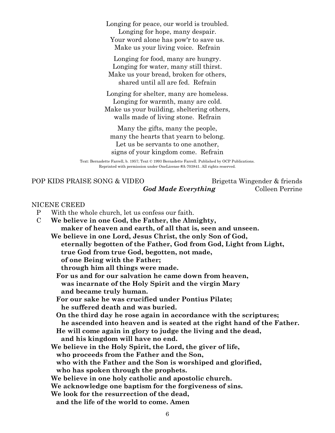Longing for peace, our world is troubled. Longing for hope, many despair. Your word alone has pow'r to save us. Make us your living voice. Refrain

Longing for food, many are hungry. Longing for water, many still thirst. Make us your bread, broken for others, shared until all are fed. Refrain

Longing for shelter, many are homeless. Longing for warmth, many are cold. Make us your building, sheltering others, walls made of living stone. Refrain

Many the gifts, many the people, many the hearts that yearn to belong. Let us be servants to one another, signs of your kingdom come. Refrain

Text: Bernadette Farrell, b. 1957; Text © 1993 Bernadette Farrell. Published by OCP Publications. Reprinted with permission under OneLicense #A-703841. All rights reserved.

POP KIDS PRAISE SONG & VIDEO Brigetta Wingender & friends *God Made Everything* Colleen Perrine

#### NICENE CREED

- P With the whole church, let us confess our faith.
- C **We believe in one God, the Father, the Almighty, maker of heaven and earth, of all that is, seen and unseen.**

**We believe in one Lord, Jesus Christ, the only Son of God, eternally begotten of the Father, God from God, Light from Light, true God from true God, begotten, not made, of one Being with the Father;**

**through him all things were made.**

**For us and for our salvation he came down from heaven,**

**was incarnate of the Holy Spirit and the virgin Mary**

**and became truly human.**

**For our sake he was crucified under Pontius Pilate; he suffered death and was buried.**

**On the third day he rose again in accordance with the scriptures; he ascended into heaven and is seated at the right hand of the Father.**

**He will come again in glory to judge the living and the dead,**

**and his kingdom will have no end.**

**We believe in the Holy Spirit, the Lord, the giver of life,**

**who proceeds from the Father and the Son,**

**who with the Father and the Son is worshiped and glorified,**

**who has spoken through the prophets.**

**We believe in one holy catholic and apostolic church.**

**We acknowledge one baptism for the forgiveness of sins.**

- **We look for the resurrection of the dead,**
	- **and the life of the world to come. Amen**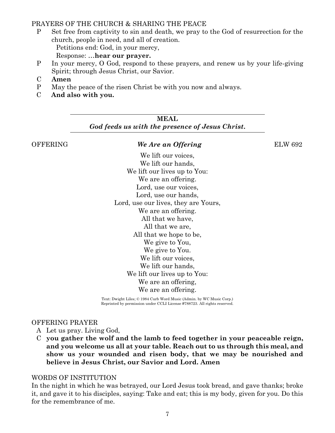# PRAYERS OF THE CHURCH & SHARING THE PEACE

P Set free from captivity to sin and death, we pray to the God of resurrection for the church, people in need, and all of creation. Petitions end: God, in your mercy,

Response: …**hear our prayer.**

- P In your mercy, O God, respond to these prayers, and renew us by your life-giving Spirit; through Jesus Christ, our Savior.
- C **Amen**
- P May the peace of the risen Christ be with you now and always.
- C **And also with you.**

**MEAL** *God feeds us with the presence of Jesus Christ***.**

# OFFERING *We Are an Offering* ELW 692

We lift our voices. We lift our hands. We lift our lives up to You: We are an offering. Lord, use our voices, Lord, use our hands, Lord, use our lives, they are Yours, We are an offering. All that we have, All that we are, All that we hope to be, We give to You, We give to You. We lift our voices. We lift our hands. We lift our lives up to You: We are an offering, We are an offering.

Text: Dwight Liles; © 1984 Curb Word Music (Admin. by WC Music Corp.) Reprinted by permission under CCLI License #788723. All rights reserved.

## OFFERING PRAYER

- A Let us pray. Living God,
- C **you gather the wolf and the lamb to feed together in your peaceable reign, and you welcome us all at your table. Reach out to us through this meal, and show us your wounded and risen body, that we may be nourished and believe in Jesus Christ, our Savior and Lord. Amen**

#### WORDS OF INSTITUTION

In the night in which he was betrayed, our Lord Jesus took bread, and gave thanks; broke it, and gave it to his disciples, saying: Take and eat; this is my body, given for you. Do this for the remembrance of me.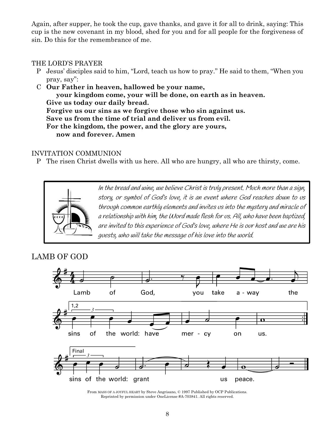Again, after supper, he took the cup, gave thanks, and gave it for all to drink, saying: This cup is the new covenant in my blood, shed for you and for all people for the forgiveness of sin. Do this for the remembrance of me.

# THE LORD'S PRAYER

- P Jesus' disciples said to him, "Lord, teach us how to pray." He said to them, "When you pray, say":
- C **Our Father in heaven, hallowed be your name, your kingdom come, your will be done, on earth as in heaven. Give us today our daily bread. Forgive us our sins as we forgive those who sin against us. Save us from the time of trial and deliver us from evil. For the kingdom, the power, and the glory are yours, now and forever. Amen**

# INVITATION COMMUNION

P The risen Christ dwells with us here. All who are hungry, all who are thirsty, come.



In the bread and wine, we believe Christ is truly present. Much more than a sign, story, or symbol of God's love, it is an event where God reaches down to us through common earthly elements and invites us into the mystery and miracle of a relationship with him, the Word made flesh for us. All, who have been baptized, are invited to this experience of God's love, where He is our host and we are his guests, who will take the message of his love into the world.

# LAMB OF GOD



From MASS OF A JOYFUL HEART by Steve Angrisano, © 1997 Published by OCP Publications. Reprinted by permission under OneLicense #A-703841. All rights reserved.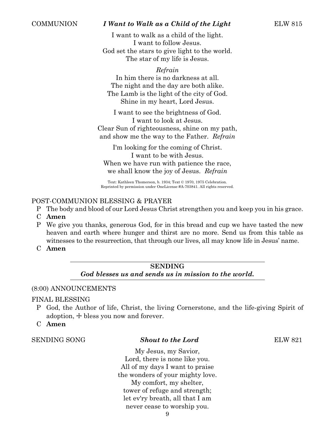# COMMUNION *I Want to Walk as a Child of the Light* ELW 815

I want to walk as a child of the light. I want to follow Jesus. God set the stars to give light to the world. The star of my life is Jesus.

*Refrain*

In him there is no darkness at all. The night and the day are both alike. The Lamb is the light of the city of God. Shine in my heart, Lord Jesus.

I want to see the brightness of God. I want to look at Jesus. Clear Sun of righteousness, shine on my path, and show me the way to the Father. *Refrain*

I'm looking for the coming of Christ. I want to be with Jesus. When we have run with patience the race, we shall know the joy of Jesus. *Refrain*

Text: Kathleen Thomerson, b. 1934; Text © 1970, 1975 Celebration. Reprinted by permission under OneLicense #A-703841. All rights reserved.

# POST-COMMUNION BLESSING & PRAYER

- P The body and blood of our Lord Jesus Christ strengthen you and keep you in his grace.
- C **Amen**
- P We give you thanks, generous God, for in this bread and cup we have tasted the new heaven and earth where hunger and thirst are no more. Send us from this table as witnesses to the resurrection, that through our lives, all may know life in Jesus' name.
- C **Amen**

# **SENDING** *God blesses us and sends us in mission to the world.*

## (8:00) ANNOUNCEMENTS

#### FINAL BLESSING

- P God, the Author of life, Christ, the living Cornerstone, and the life-giving Spirit of adoption,  $\pm$  bless you now and forever.
- C **Amen**

#### SENDING SONG *Shout to the Lord* ELW 821

My Jesus, my Savior, Lord, there is none like you. All of my days I want to praise the wonders of your mighty love. My comfort, my shelter, tower of refuge and strength; let ev'ry breath, all that I am never cease to worship you.